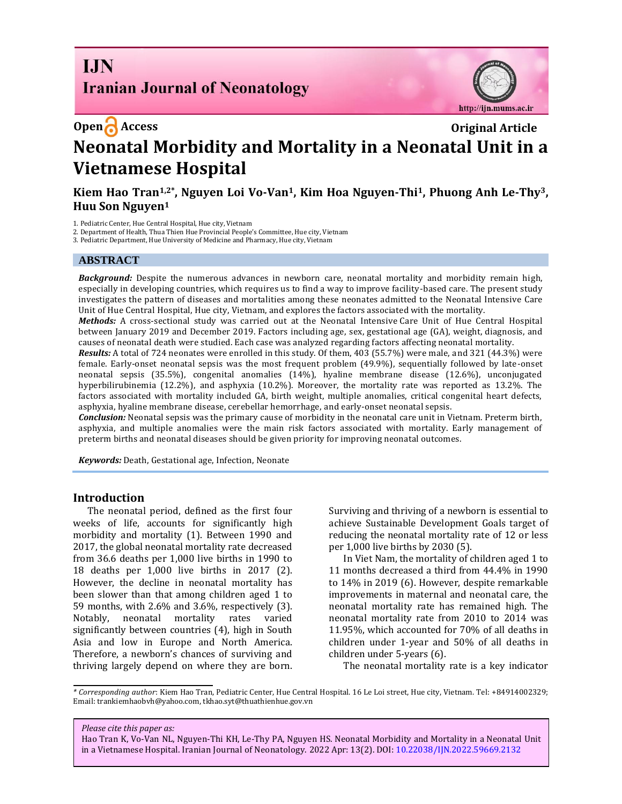# **I.IN Iranian Journal of Neonatology**



**Open C** Access **Original Article Neonatal Morbidity and Mortality in a Neonatal Unit in a Vietnamese Hospital**

Kiem Hao Tran<sup>1,2\*</sup>, Nguyen Loi Vo-Van<sup>1</sup>, Kim Hoa Nguyen-Thi<sup>1</sup>, Phuong Anh Le-Thy<sup>3</sup>, **Huu Son Nguyen<sup>1</sup>**

1. Pediatric Center, Hue Central Hospital, Hue city, Vietnam

2. Department of Health, Thua Thien Hue Provincial People's Committee, Hue city, Vietnam

3. Pediatric Department, Hue University of Medicine and Pharmacy, Hue city, Vietnam

### **ABSTRACT**

*Background:* Despite the numerous advances in newborn care, neonatal mortality and morbidity remain high, especially in developing countries, which requires us to find a way to improve facility-based care. The present study investigates the pattern of diseases and mortalities among these neonates admitted to the Neonatal Intensive Care Unit of Hue Central Hospital, Hue city, Vietnam, and explores the factors associated with the mortality.

*Methods:* A cross-sectional study was carried out at the Neonatal Intensive Care Unit of Hue Central Hospital between January 2019 and December 2019. Factors including age, sex, gestational age (GA), weight, diagnosis, and causes of neonatal death were studied. Each case was analyzed regarding factors affecting neonatal mortality.

*Results:* A total of 724 neonates were enrolled in this study. Of them, 403 (55.7%) were male, and 321 (44.3%) were female. Early-onset neonatal sepsis was the most frequent problem (49.9%), sequentially followed by late-onset neonatal sepsis (35.5%), congenital anomalies (14%), hyaline membrane disease (12.6%), unconjugated hyperbilirubinemia (12.2%), and asphyxia (10.2%). Moreover, the mortality rate was reported as 13.2%. The factors associated with mortality included GA, birth weight, multiple anomalies, critical congenital heart defects, asphyxia, hyaline membrane disease, cerebellar hemorrhage, and early-onset neonatal sepsis.

*Conclusion:* Neonatal sepsis was the primary cause of morbidity in the neonatal care unit in Vietnam. Preterm birth, asphyxia, and multiple anomalies were the main risk factors associated with mortality. Early management of preterm births and neonatal diseases should be given priority for improving neonatal outcomes.

*Keywords:* Death, Gestational age, Infection, Neonate

### **Introduction**

The neonatal period, defined as the first four weeks of life, accounts for significantly high morbidity and mortality [\(1\)](#page-5-0). Between 1990 and 2017, the global neonatal mortality rate decreased from 36.6 deaths per 1,000 live births in 1990 to 18 deaths per 1,000 live births in 2017 [\(2\)](#page-5-1). However, the decline in neonatal mortality has been slower than that among children aged 1 to 59 months, with 2.6% and 3.6%, respectively [\(3\)](#page-5-2). Notably, neonatal mortality rates varied significantly between countries [\(4\)](#page-5-3), high in South Asia and low in Europe and North America. Therefore, a newborn's chances of surviving and thriving largely depend on where they are born. Surviving and thriving of a newborn is essential to achieve Sustainable Development Goals target of reducing the neonatal mortality rate of 12 or less per 1,000 live births by 2030 [\(5\)](#page-5-4).

In Viet Nam, the mortality of children aged 1 to 11 months decreased a third from 44.4% in 1990 to 14% in 2019 [\(6\)](#page-5-5). However, despite remarkable improvements in maternal and neonatal care, the neonatal mortality rate has remained high. The neonatal mortality rate from 2010 to 2014 was 11.95%, which accounted for 70% of all deaths in children under 1-year and 50% of all deaths in children under 5-years [\(6\)](#page-5-5).

The neonatal mortality rate is a key indicator

*\* Corresponding author*: Kiem Hao Tran, Pediatric Center, Hue Central Hospital. 16 Le Loi street, Hue city, Vietnam. Tel: +84914002329; Email[: trankiemhaobvh@yahoo.com,](mailto:trankiemhaobvh@yahoo.com) tkhao.syt@thuathienhue.gov.vn

*Please cite this paper as:*

Hao Tran K, Vo-Van NL, Nguyen-Thi KH, Le-Thy PA, Nguyen HS. Neonatal Morbidity and Mortality in a Neonatal Unit in a Vietnamese Hospital. Iranian Journal of Neonatology. 2022 Apr: 13(2). DOI[: 10.22038/IJN.2022.59669.2132](https://ijn.mums.ac.ir/)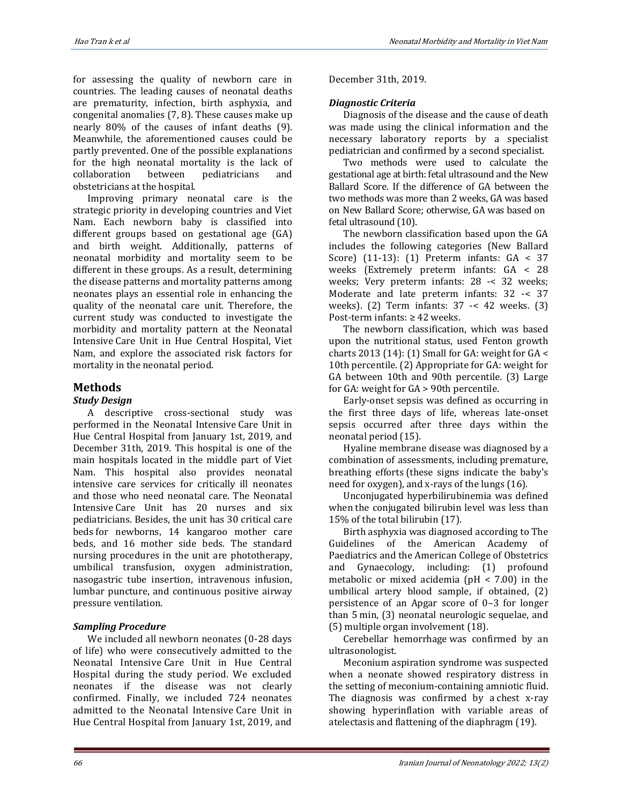for assessing the quality of newborn care in countries. The leading causes of neonatal deaths are prematurity, infection, birth asphyxia, and congenital anomalies [\(7,](#page-5-6) [8\)](#page-5-7). These causes make up nearly 80% of the causes of infant deaths [\(9\)](#page-5-8). Meanwhile, the aforementioned causes could be partly prevented. One of the possible explanations for the high neonatal mortality is the lack of collaboration between pediatricians and obstetricians at the hospital.

Improving primary neonatal care is the strategic priority in developing countries and Viet Nam. Each newborn baby is classified into different groups based on gestational age (GA) and birth weight. Additionally, patterns of neonatal morbidity and mortality seem to be different in these groups. As a result, determining the disease patterns and mortality patterns among neonates plays an essential role in enhancing the quality of the neonatal care unit. Therefore, the current study was conducted to investigate the morbidity and mortality pattern at the Neonatal Intensive Care Unit in Hue Central Hospital, Viet Nam, and explore the associated risk factors for mortality in the neonatal period.

# **Methods**

# *Study Design*

A descriptive cross-sectional study was performed in the Neonatal Intensive Care Unit in Hue Central Hospital from January 1st, 2019, and December 31th, 2019. This hospital is one of the main hospitals located in the middle part of Viet Nam. This hospital also provides neonatal intensive care services for critically ill neonates and those who need neonatal care. The Neonatal Intensive Care Unit has 20 nurses and six pediatricians. Besides, the unit has 30 critical care beds for newborns, 14 kangaroo mother care beds, and 16 mother side beds. The standard nursing procedures in the unit are phototherapy, umbilical transfusion, oxygen administration, nasogastric tube insertion, intravenous infusion, lumbar puncture, and continuous positive airway pressure ventilation.

# *Sampling Procedure*

We included all newborn neonates (0-28 days of life) who were consecutively admitted to the Neonatal Intensive Care Unit in Hue Central Hospital during the study period. We excluded neonates if the disease was not clearly confirmed. Finally, we included 724 neonates admitted to the Neonatal Intensive Care Unit in Hue Central Hospital from January 1st, 2019, and December 31th, 2019.

## *Diagnostic Criteria*

Diagnosis of the disease and the cause of death was made using the clinical information and the necessary laboratory reports by a specialist pediatrician and confirmed by a second specialist.

Two methods were used to calculate the gestational age at birth: fetal ultrasound and the New Ballard Score. If the difference of GA between the two methods was more than 2 weeks, GA was based on New Ballard Score; otherwise, GA was based on fetal ultrasound (10).

The newborn classification based upon the GA includes the following categories (New Ballard Score) [\(11-13\)](#page-5-9): (1) Preterm infants: GA < 37 weeks (Extremely preterm infants: GA < 28 weeks; Very preterm infants: 28 -< 32 weeks; Moderate and late preterm infants: 32 -< 37 weeks). (2) Term infants: 37 -< 42 weeks. (3) Post-term infants: ≥ 42 weeks.

The newborn classification, which was based upon the nutritional status, used Fenton growth charts 2013 [\(14\)](#page-5-10): (1) Small for GA: weight for  $GA <$ 10th percentile. (2) Appropriate for GA: weight for GA between 10th and 90th percentile. (3) Large for GA: weight for GA > 90th percentile.

Early-onset sepsis was defined as occurring in the first three days of life, whereas late-onset sepsis occurred after three days within the neonatal period [\(15\)](#page-5-11).

Hyaline membrane disease was diagnosed by a combination of assessments, including premature, breathing efforts (these signs indicate the baby's need for oxygen), and x-rays of the lungs [\(16\)](#page-5-12).

Unconjugated hyperbilirubinemia was defined when the conjugated bilirubin level was less than 15% of the total bilirubin [\(17\)](#page-5-13).

Birth asphyxia was diagnosed according to The Guidelines of the American Academy of Paediatrics and the American College of Obstetrics and Gynaecology, including: (1) profound metabolic or mixed acidemia (pH < 7.00) in the umbilical artery blood sample, if obtained, (2) persistence of an Apgar score of 0–3 for longer than 5 min, (3) neonatal neurologic sequelae, and (5) multiple organ involvement [\(18\)](#page-5-14).

Cerebellar hemorrhage was confirmed by an ultrasonologist.

Meconium aspiration syndrome was suspected when a neonate showed respiratory distress in the setting of meconium-containing amniotic fluid. The diagnosis was confirmed by a chest x-ray showing hyperinflation with variable areas of atelectasis and flattening of the diaphragm [\(19\)](#page-5-15).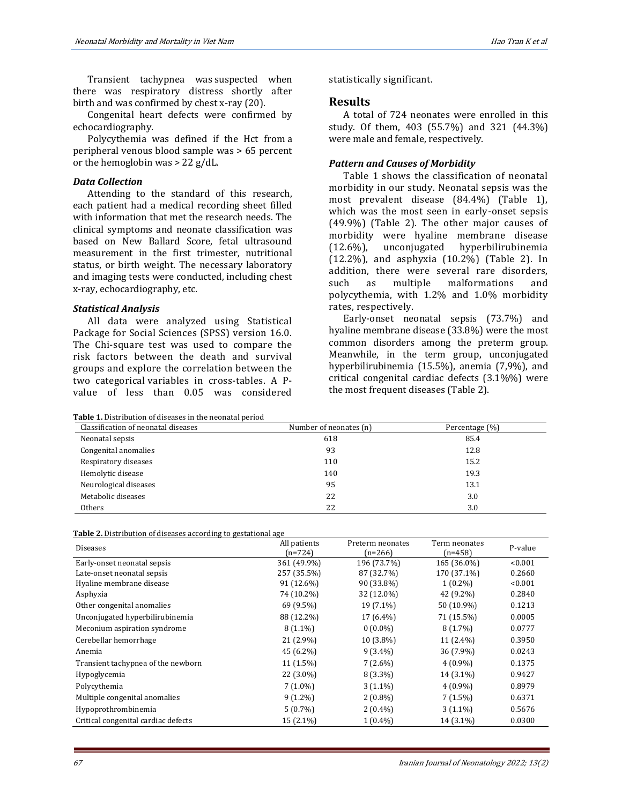Transient tachypnea was suspected when there was respiratory distress shortly after birth and was confirmed by chest x-ray [\(20\)](#page-5-16).

Congenital heart defects were confirmed by echocardiography.

Polycythemia was defined if the Hct from a peripheral venous blood sample was > 65 percent or the hemoglobin was > 22 g/dL.

#### *Data Collection*

Attending to the standard of this research, each patient had a medical recording sheet filled with information that met the research needs. The clinical symptoms and neonate classification was based on New Ballard Score, fetal ultrasound measurement in the first trimester, nutritional status, or birth weight. The necessary laboratory and imaging tests were conducted, including chest x-ray, echocardiography, etc.

#### *Statistical Analysis*

All data were analyzed using Statistical Package for Social Sciences (SPSS) version 16.0. The Chi-square test was used to compare the risk factors between the death and survival groups and explore the correlation between the two categorical variables in cross-tables. A Pvalue of less than 0.05 was considered

**Table 1.** Distribution of diseases in the neonatal period

statistically significant.

#### **Results**

A total of 724 neonates were enrolled in this study. Of them, 403 (55.7%) and 321 (44.3%) were male and female, respectively.

### *Pattern and Causes of Morbidity*

Table 1 shows the classification of neonatal morbidity in our study. Neonatal sepsis was the most prevalent disease (84.4%) (Table 1), which was the most seen in early-onset sepsis (49.9%) (Table 2). The other major causes of morbidity were hyaline membrane disease (12.6%), unconjugated hyperbilirubinemia (12.2%), and asphyxia (10.2%) (Table 2). In addition, there were several rare disorders, such as multiple malformations and polycythemia, with 1.2% and 1.0% morbidity rates, respectively.

Early-onset neonatal sepsis (73.7%) and hyaline membrane disease (33.8%) were the most common disorders among the preterm group. Meanwhile, in the term group, unconjugated hyperbilirubinemia (15.5%), anemia (7,9%), and critical congenital cardiac defects (3.1%%) were the most frequent diseases (Table 2).

| Classification of neonatal diseases | Number of neonates (n) | Percentage (%) |  |
|-------------------------------------|------------------------|----------------|--|
| Neonatal sepsis                     | 618                    | 85.4           |  |
| Congenital anomalies                | 93                     | 12.8           |  |
| Respiratory diseases                | 110                    | 15.2           |  |
| Hemolytic disease                   | 140                    | 19.3           |  |
| Neurological diseases               | 95                     | 13.1           |  |
| Metabolic diseases                  | 22                     | 3.0            |  |
| Others                              | 22                     | 3.0            |  |

| Table 2. Distribution of diseases according to gestational age |  |
|----------------------------------------------------------------|--|
|----------------------------------------------------------------|--|

| <b>Diseases</b>                     | All patients | Preterm neonates<br>Term neonates |             | P-value |
|-------------------------------------|--------------|-----------------------------------|-------------|---------|
|                                     | $(n=724)$    | $(n=266)$                         | $(n=458)$   |         |
| Early-onset neonatal sepsis         | 361 (49.9%)  | 196 (73.7%)                       | 165 (36.0%) | < 0.001 |
| Late-onset neonatal sepsis          | 257 (35.5%)  | 87 (32.7%)                        | 170 (37.1%) | 0.2660  |
| Hyaline membrane disease            | 91 (12.6%)   | 90 (33.8%)                        | $1(0.2\%)$  | < 0.001 |
| Asphyxia                            | 74 (10.2%)   | 32 (12.0%)                        | 42 (9.2%)   | 0.2840  |
| Other congenital anomalies          | 69 (9.5%)    | 19 (7.1%)                         | 50 (10.9%)  | 0.1213  |
| Unconjugated hyperbilirubinemia     | 88 (12.2%)   | 17 (6.4%)                         | 71 (15.5%)  | 0.0005  |
| Meconium aspiration syndrome        | $8(1.1\%)$   | $0(0.0\%)$                        | $8(1.7\%)$  | 0.0777  |
| Cerebellar hemorrhage               | $21(2.9\%)$  | 10 (3.8%)                         | 11 (2.4%)   | 0.3950  |
| Anemia                              | 45 (6.2%)    | $9(3.4\%)$                        | 36 (7.9%)   | 0.0243  |
| Transient tachypnea of the newborn  | 11 (1.5%)    | $7(2.6\%)$                        | $4(0.9\%)$  | 0.1375  |
| Hypoglycemia                        | 22 (3.0%)    | $8(3.3\%)$                        | 14 (3.1%)   | 0.9427  |
| Polycythemia                        | $7(1.0\%)$   | $3(1.1\%)$                        | $4(0.9\%)$  | 0.8979  |
| Multiple congenital anomalies       | $9(1.2\%)$   | $2(0.8\%)$                        | $7(1.5\%)$  | 0.6371  |
| Hypoprothrombinemia                 | $5(0.7\%)$   | $2(0.4\%)$                        | $3(1.1\%)$  | 0.5676  |
| Critical congenital cardiac defects | $15(2.1\%)$  | $1(0.4\%)$                        | 14 (3.1%)   | 0.0300  |
|                                     |              |                                   |             |         |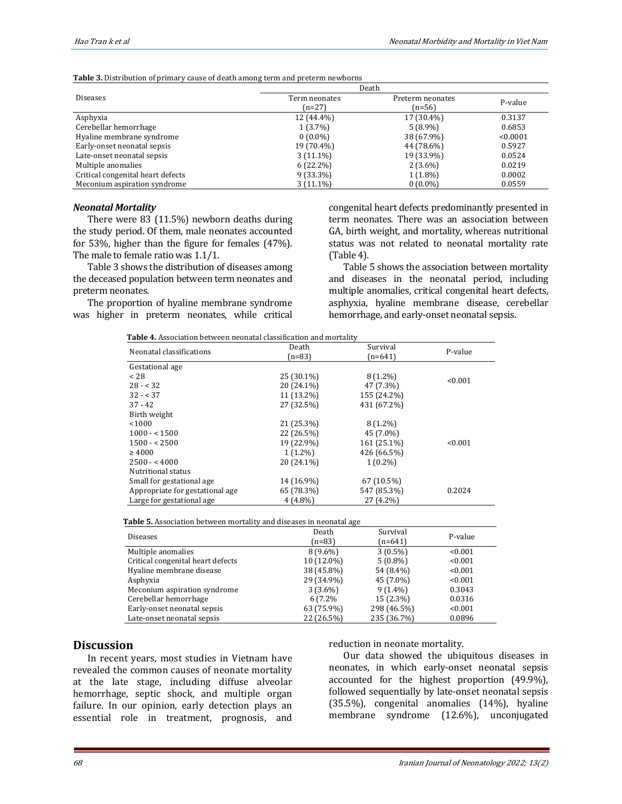|                                   | ີ             |                  |          |  |
|-----------------------------------|---------------|------------------|----------|--|
|                                   |               | Death            |          |  |
| <b>Diseases</b>                   | Term neonates | Preterm neonates | P-value  |  |
|                                   | $(n=27)$      | $(n=56)$         |          |  |
| Asphyxia                          | 12 (44.4%)    | 17 (30.4%)       | 0.3137   |  |
| Cerebellar hemorrhage             | $1(3.7\%)$    | $5(8.9\%)$       | 0.6853   |  |
| Hyaline membrane syndrome         | $0(0.0\%)$    | 38 (67.9%)       | < 0.0001 |  |
| Early-onset neonatal sepsis       | 19 (70.4%)    | 44 (78.6%)       | 0.5927   |  |
| Late-onset neonatal sepsis        | $3(11.1\%)$   | 19 (33.9%)       | 0.0524   |  |
| Multiple anomalies                | $6(22.2\%)$   | $2(3.6\%)$       | 0.0219   |  |
| Critical congenital heart defects | $9(33.3\%)$   | $1(1.8\%)$       | 0.0002   |  |
| Meconium aspiration syndrome      | 3 (11.1%)     | $0(0.0\%)$       | 0.0559   |  |

**Table 3.** Distribution of primary cause of death among term and preterm newborns

#### *Neonatal Mortality*

There were 83 (11.5%) newborn deaths during the study period. Of them, male neonates accounted for 53%, higher than the figure for females (47%). The male to female ratio was 1.1/1.

Table 3 shows the distribution of diseases among the deceased population between term neonates and preterm neonates.

The proportion of hyaline membrane syndrome was higher in preterm neonates, while critical

 **Table 4.** Association between neonatal classification and mortality

congenital heart defects predominantly presented in term neonates. There was an association between GA, birth weight, and mortality, whereas nutritional status was not related to neonatal mortality rate (Table 4).

Table 5 shows the association between mortality and diseases in the neonatal period, including multiple anomalies, critical congenital heart defects, asphyxia, hyaline membrane disease, cerebellar hemorrhage, and early-onset neonatal sepsis.

| Neonatal classifications        | Death      | Survival    |         |
|---------------------------------|------------|-------------|---------|
|                                 | $(n=83)$   | $(n=641)$   | P-value |
| Gestational age                 |            |             |         |
| < 28                            | 25 (30.1%) | $8(1.2\%)$  | < 0.001 |
| $28 - 32$                       | 20 (24.1%) | 47 (7.3%)   |         |
| $32 - 37$                       | 11 (13.2%) | 155 (24.2%) |         |
| $37 - 42$                       | 27 (32.5%) | 431 (67.2%) |         |
| Birth weight                    |            |             |         |
| < 1000                          | 21 (25.3%) | $8(1.2\%)$  |         |
| $1000 - 1500$                   | 22 (26.5%) | 45 (7.0%)   |         |
| $1500 - 2500$                   | 19 (22.9%) | 161 (25.1%) | < 0.001 |
| $\geq 4000$                     | $1(1.2\%)$ | 426 (66.5%) |         |
| $2500 - 4000$                   | 20 (24.1%) | $1(0.2\%)$  |         |
| Nutritional status              |            |             |         |
| Small for gestational age       | 14 (16.9%) | 67 (10.5%)  |         |
| Appropriate for gestational age | 65 (78.3%) | 547 (85.3%) | 0.2024  |
| Large for gestational age       | $4(4.8\%)$ | 27 (4.2%)   |         |

 **Table 5.** Association between mortality and diseases in neonatal age

|                                   | ້          |             |         |
|-----------------------------------|------------|-------------|---------|
| <b>Diseases</b>                   | Death      | Survival    | P-value |
|                                   | $(n=83)$   | $(n=641)$   |         |
| Multiple anomalies                | $8(9.6\%)$ | $3(0.5\%)$  | < 0.001 |
| Critical congenital heart defects | 10 (12.0%) | $5(0.8\%)$  | < 0.001 |
| Hyaline membrane disease          | 38 (45.8%) | 54 (8.4%)   | < 0.001 |
| Asphyxia                          | 29 (34.9%) | 45 (7.0%)   | < 0.001 |
| Meconium aspiration syndrome      | $3(3.6\%)$ | $9(1.4\%)$  | 0.3043  |
| Cerebellar hemorrhage             | 6 (7.2%)   | 15 (2.3%)   | 0.0316  |
| Early-onset neonatal sepsis       | 63 (75.9%) | 298 (46.5%) | < 0.001 |
| Late-onset neonatal sepsis        | 22 (26.5%) | 235 (36.7%) | 0.0896  |

### **Discussion**

In recent years, most studies in Vietnam have revealed the common causes of neonate mortality at the late stage, including diffuse alveolar hemorrhage, septic shock, and multiple organ failure. In our opinion, early detection plays an essential role in treatment, prognosis, and reduction in neonate mortality.

Our data showed the ubiquitous diseases in neonates, in which early-onset neonatal sepsis accounted for the highest proportion (49.9%), followed sequentially by late-onset neonatal sepsis (35.5%), congenital anomalies (14%), hyaline membrane syndrome (12.6%), unconjugated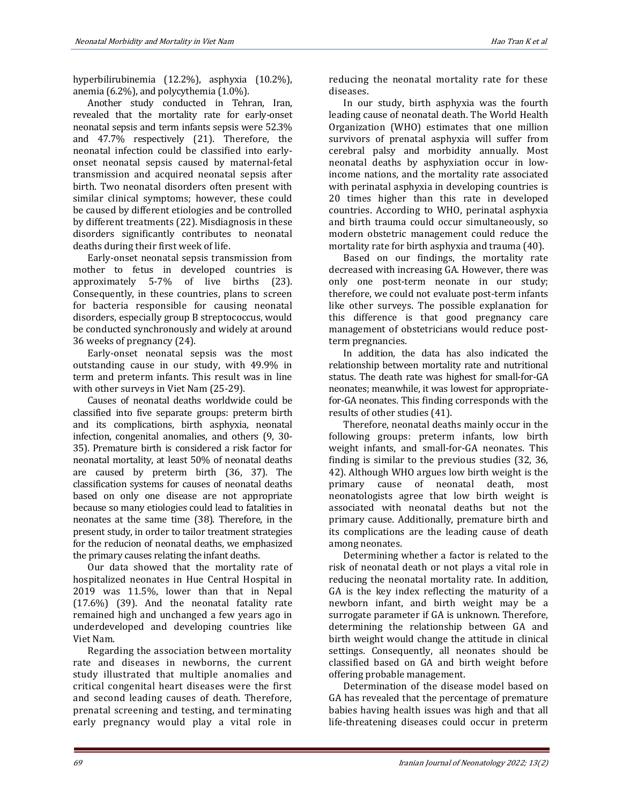hyperbilirubinemia (12.2%), asphyxia (10.2%), anemia (6.2%), and polycythemia (1.0%).

Another study conducted in Tehran, Iran, revealed that the mortality rate for early-onset neonatal sepsis and term infants sepsis were 52.3% and 47.7% respectively [\(21\)](#page-5-17). Therefore, the neonatal infection could be classified into earlyonset neonatal sepsis caused by maternal-fetal transmission and acquired neonatal sepsis after birth. Two neonatal disorders often present with similar clinical symptoms; however, these could be caused by different etiologies and be controlled by different treatments [\(22\)](#page-6-0). Misdiagnosis in these disorders significantly contributes to neonatal deaths during their first week of life.

Early-onset neonatal sepsis transmission from mother to fetus in developed countries is approximately 5-7% of live births [\(23\)](#page-6-1). Consequently, in these countries, plans to screen for bacteria responsible for causing neonatal disorders, especially group B streptococcus, would be conducted synchronously and widely at around 36 weeks of pregnancy [\(24\)](#page-6-2).

Early-onset neonatal sepsis was the most outstanding cause in our study, with 49.9% in term and preterm infants. This result was in line with other surveys in Viet Nam [\(25-29\)](#page-6-3).

Causes of neonatal deaths worldwide could be classified into five separate groups: preterm birth and its complications, birth asphyxia, neonatal infection, congenital anomalies, and others [\(9,](#page-5-8) [30-](#page-6-4) [35\)](#page-6-4). Premature birth is considered a risk factor for neonatal mortality, at least 50% of neonatal deaths are caused by preterm birth [\(36,](#page-6-5) [37\)](#page-6-6). The classification systems for causes of neonatal deaths based on only one disease are not appropriate because so many etiologies could lead to fatalities in neonates at the same time [\(38\)](#page-6-7). Therefore, in the present study, in order to tailor treatment strategies for the reducion of neonatal deaths, we emphasized the primary causes relating the infant deaths.

Our data showed that the mortality rate of hospitalized neonates in Hue Central Hospital in 2019 was 11.5%, lower than that in Nepal (17.6%) [\(39\)](#page-6-8). And the neonatal fatality rate remained high and unchanged a few years ago in underdeveloped and developing countries like Viet Nam.

Regarding the association between mortality rate and diseases in newborns, the current study illustrated that multiple anomalies and critical congenital heart diseases were the first and second leading causes of death. Therefore, prenatal screening and testing, and terminating early pregnancy would play a vital role in reducing the neonatal mortality rate for these diseases.

In our study, birth asphyxia was the fourth leading cause of neonatal death. The World Health Organization (WHO) estimates that one million survivors of prenatal asphyxia will suffer from cerebral palsy and morbidity annually. Most neonatal deaths by asphyxiation occur in lowincome nations, and the mortality rate associated with perinatal asphyxia in developing countries is 20 times higher than this rate in developed countries. According to WHO, perinatal asphyxia and birth trauma could occur simultaneously, so modern obstetric management could reduce the mortality rate for birth asphyxia and trauma [\(40\)](#page-6-9).

Based on our findings, the mortality rate decreased with increasing GA. However, there was only one post-term neonate in our study; therefore, we could not evaluate post-term infants like other surveys. The possible explanation for this difference is that good pregnancy care management of obstetricians would reduce postterm pregnancies.

In addition, the data has also indicated the relationship between mortality rate and nutritional status. The death rate was highest for small-for-GA neonates; meanwhile, it was lowest for appropriatefor-GA neonates. This finding corresponds with the results of other studies [\(41\)](#page-6-10).

Therefore, neonatal deaths mainly occur in the following groups: preterm infants, low birth weight infants, and small-for-GA neonates. This finding is similar to the previous studies [\(32,](#page-6-11) [36,](#page-6-5) 42). Although WHO argues low birth weight is the primary cause of neonatal death, most neonatologists agree that low birth weight is associated with neonatal deaths but not the primary cause. Additionally, premature birth and its complications are the leading cause of death among neonates.

Determining whether a factor is related to the risk of neonatal death or not plays a vital role in reducing the neonatal mortality rate. In addition, GA is the key index reflecting the maturity of a newborn infant, and birth weight may be a surrogate parameter if GA is unknown. Therefore, determining the relationship between GA and birth weight would change the attitude in clinical settings. Consequently, all neonates should be classified based on GA and birth weight before offering probable management.

Determination of the disease model based on GA has revealed that the percentage of premature babies having health issues was high and that all life-threatening diseases could occur in preterm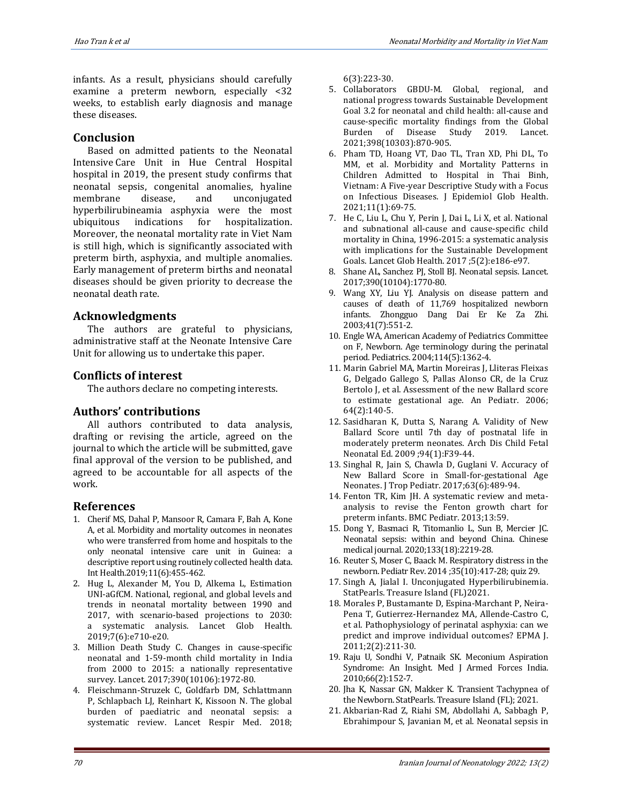infants. As a result, physicians should carefully examine a preterm newborn, especially <32 weeks, to establish early diagnosis and manage these diseases.

# **Conclusion**

Based on admitted patients to the Neonatal Intensive Care Unit in Hue Central Hospital hospital in 2019, the present study confirms that neonatal sepsis, congenital anomalies, hyaline membrane disease, and unconjugated hyperbilirubineamia asphyxia were the most ubiquitous indications for hospitalization. Moreover, the neonatal mortality rate in Viet Nam is still high, which is significantly associated with preterm birth, asphyxia, and multiple anomalies. Early management of preterm births and neonatal diseases should be given priority to decrease the neonatal death rate.

# **Acknowledgments**

The authors are grateful to physicians, administrative staff at the Neonate Intensive Care Unit for allowing us to undertake this paper.

# **Conflicts of interest**

The authors declare no competing interests.

# **Authors' contributions**

All authors contributed to data analysis, drafting or revising the article, agreed on the journal to which the article will be submitted, gave final approval of the version to be published, and agreed to be accountable for all aspects of the work.

# **References**

- <span id="page-5-0"></span>1. Cherif MS, Dahal P, Mansoor R, Camara F, Bah A, Kone A, et al. Morbidity and mortality outcomes in neonates who were transferred from home and hospitals to the only neonatal intensive care unit in Guinea: a descriptive report using routinely collected health data. Int Health.2019;11(6):455-462.
- <span id="page-5-1"></span>2. Hug L, Alexander M, You D, Alkema L, Estimation UNI-aGfCM. National, regional, and global levels and trends in neonatal mortality between 1990 and 2017, with scenario-based projections to 2030: a systematic analysis. Lancet Glob Health. 2019;7(6):e710-e20.
- <span id="page-5-2"></span>3. Million Death Study C. Changes in cause-specific neonatal and 1-59-month child mortality in India from 2000 to 2015: a nationally representative survey. Lancet. 2017;390(10106):1972-80.
- <span id="page-5-3"></span>4. Fleischmann-Struzek C, Goldfarb DM, Schlattmann P, Schlapbach LJ, Reinhart K, Kissoon N. The global burden of paediatric and neonatal sepsis: a systematic review. Lancet Respir Med. 2018;

6(3):223-30.

- <span id="page-5-4"></span>5. Collaborators GBDU-M. Global, regional, and national progress towards Sustainable Development Goal 3.2 for neonatal and child health: all-cause and cause-specific mortality findings from the Global Burden of Disease Study 2019. Lancet. 2021;398(10303):870-905.
- <span id="page-5-5"></span>6. Pham TD, Hoang VT, Dao TL, Tran XD, Phi DL, To MM, et al. Morbidity and Mortality Patterns in Children Admitted to Hospital in Thai Binh, Vietnam: A Five-year Descriptive Study with a Focus on Infectious Diseases. J Epidemiol Glob Health. 2021;11(1):69-75.
- <span id="page-5-6"></span>7. He C, Liu L, Chu Y, Perin J, Dai L, Li X, et al. National and subnational all-cause and cause-specific child mortality in China, 1996-2015: a systematic analysis with implications for the Sustainable Development Goals. Lancet Glob Health. 2017 ;5(2):e186-e97.
- <span id="page-5-7"></span>8. Shane AL, Sanchez PJ, Stoll BJ. Neonatal sepsis. Lancet. 2017;390(10104):1770-80.
- <span id="page-5-8"></span>9. Wang XY, Liu YJ. Analysis on disease pattern and causes of death of 11,769 hospitalized newborn infants. Zhongguo Dang Dai Er Ke Za Zhi. 2003;41(7):551-2.
- 10. Engle WA, American Academy of Pediatrics Committee on F, Newborn. Age terminology during the perinatal period. Pediatrics. 2004;114(5):1362-4.
- <span id="page-5-9"></span>11. Marin Gabriel MA, Martin Moreiras J, Lliteras Fleixas G, Delgado Gallego S, Pallas Alonso CR, de la Cruz Bertolo J, et al. Assessment of the new Ballard score to estimate gestational age. An Pediatr. 2006; 64(2):140-5.
- 12. Sasidharan K, Dutta S, Narang A. Validity of New Ballard Score until 7th day of postnatal life in moderately preterm neonates. Arch Dis Child Fetal Neonatal Ed. 2009 ;94(1):F39-44.
- 13. Singhal R, Jain S, Chawla D, Guglani V. Accuracy of New Ballard Score in Small-for-gestational Age Neonates. J Trop Pediatr. 2017;63(6):489-94.
- <span id="page-5-10"></span>14. Fenton TR, Kim JH. A systematic review and metaanalysis to revise the Fenton growth chart for preterm infants. BMC Pediatr. 2013;13:59.
- <span id="page-5-11"></span>15. Dong Y, Basmaci R, Titomanlio L, Sun B, Mercier JC. Neonatal sepsis: within and beyond China. Chinese medical journal. 2020;133(18):2219-28.
- <span id="page-5-12"></span>16. Reuter S, Moser C, Baack M. Respiratory distress in the newborn. Pediatr Rev. 2014 ;35(10):417-28; quiz 29.
- <span id="page-5-13"></span>17. Singh A, Jialal I. Unconjugated Hyperbilirubinemia. StatPearls. Treasure Island (FL)2021.
- <span id="page-5-14"></span>18. Morales P, Bustamante D, Espina-Marchant P, Neira-Pena T, Gutierrez-Hernandez MA, Allende-Castro C, et al. Pathophysiology of perinatal asphyxia: can we predict and improve individual outcomes? EPMA J. 2011;2(2):211-30.
- <span id="page-5-15"></span>19. Raju U, Sondhi V, Patnaik SK. Meconium Aspiration Syndrome: An Insight. Med J Armed Forces India. 2010;66(2):152-7.
- <span id="page-5-16"></span>20. Jha K, Nassar GN, Makker K. Transient Tachypnea of the Newborn. StatPearls. Treasure Island (FL); 2021.
- <span id="page-5-17"></span>21. Akbarian-Rad Z, Riahi SM, Abdollahi A, Sabbagh P, Ebrahimpour S, Javanian M, et al. Neonatal sepsis in